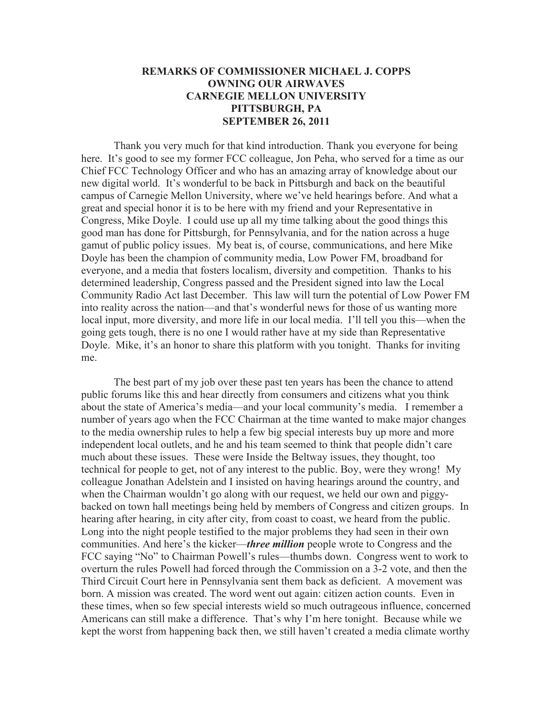## **REMARKS OF COMMISSIONER MICHAEL J. COPPS OWNING OUR AIRWAVES CARNEGIE MELLON UNIVERSITY PITTSBURGH, PA SEPTEMBER 26, 2011**

Thank you very much for that kind introduction. Thank you everyone for being here. It's good to see my former FCC colleague, Jon Peha, who served for a time as our Chief FCC Technology Officer and who has an amazing array of knowledge about our new digital world. It's wonderful to be back in Pittsburgh and back on the beautiful campus of Carnegie Mellon University, where we've held hearings before. And what a great and special honor it is to be here with my friend and your Representative in Congress, Mike Doyle. I could use up all my time talking about the good things this good man has done for Pittsburgh, for Pennsylvania, and for the nation across a huge gamut of public policy issues. My beat is, of course, communications, and here Mike Doyle has been the champion of community media, Low Power FM, broadband for everyone, and a media that fosters localism, diversity and competition. Thanks to his determined leadership, Congress passed and the President signed into law the Local Community Radio Act last December. This law will turn the potential of Low Power FM into reality across the nation—and that's wonderful news for those of us wanting more local input, more diversity, and more life in our local media. I'll tell you this—when the going gets tough, there is no one I would rather have at my side than Representative Doyle. Mike, it's an honor to share this platform with you tonight. Thanks for inviting me.

The best part of my job over these past ten years has been the chance to attend public forums like this and hear directly from consumers and citizens what you think about the state of America's media—and your local community's media. I remember a number of years ago when the FCC Chairman at the time wanted to make major changes to the media ownership rules to help a few big special interests buy up more and more independent local outlets, and he and his team seemed to think that people didn't care much about these issues. These were Inside the Beltway issues, they thought, too technical for people to get, not of any interest to the public. Boy, were they wrong! My colleague Jonathan Adelstein and I insisted on having hearings around the country, and when the Chairman wouldn't go along with our request, we held our own and piggybacked on town hall meetings being held by members of Congress and citizen groups. In hearing after hearing, in city after city, from coast to coast, we heard from the public. Long into the night people testified to the major problems they had seen in their own communities. And here's the kicker—*three million* people wrote to Congress and the FCC saying "No" to Chairman Powell's rules—thumbs down. Congress went to work to overturn the rules Powell had forced through the Commission on a 3-2 vote, and then the Third Circuit Court here in Pennsylvania sent them back as deficient. A movement was born. A mission was created. The word went out again: citizen action counts. Even in these times, when so few special interests wield so much outrageous influence, concerned Americans can still make a difference. That's why I'm here tonight. Because while we kept the worst from happening back then, we still haven't created a media climate worthy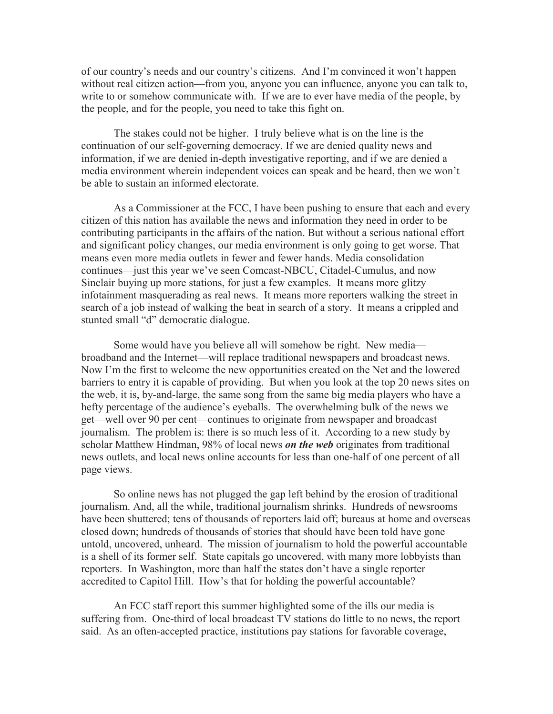of our country's needs and our country's citizens. And I'm convinced it won't happen without real citizen action—from you, anyone you can influence, anyone you can talk to, write to or somehow communicate with. If we are to ever have media of the people, by the people, and for the people, you need to take this fight on.

The stakes could not be higher. I truly believe what is on the line is the continuation of our self-governing democracy. If we are denied quality news and information, if we are denied in-depth investigative reporting, and if we are denied a media environment wherein independent voices can speak and be heard, then we won't be able to sustain an informed electorate.

As a Commissioner at the FCC, I have been pushing to ensure that each and every citizen of this nation has available the news and information they need in order to be contributing participants in the affairs of the nation. But without a serious national effort and significant policy changes, our media environment is only going to get worse. That means even more media outlets in fewer and fewer hands. Media consolidation continues—just this year we've seen Comcast-NBCU, Citadel-Cumulus, and now Sinclair buying up more stations, for just a few examples. It means more glitzy infotainment masquerading as real news. It means more reporters walking the street in search of a job instead of walking the beat in search of a story. It means a crippled and stunted small "d" democratic dialogue.

Some would have you believe all will somehow be right. New media broadband and the Internet—will replace traditional newspapers and broadcast news. Now I'm the first to welcome the new opportunities created on the Net and the lowered barriers to entry it is capable of providing. But when you look at the top 20 news sites on the web, it is, by-and-large, the same song from the same big media players who have a hefty percentage of the audience's eyeballs. The overwhelming bulk of the news we get—well over 90 per cent—continues to originate from newspaper and broadcast journalism. The problem is: there is so much less of it. According to a new study by scholar Matthew Hindman, 98% of local news *on the web* originates from traditional news outlets, and local news online accounts for less than one-half of one percent of all page views.

So online news has not plugged the gap left behind by the erosion of traditional journalism. And, all the while, traditional journalism shrinks. Hundreds of newsrooms have been shuttered; tens of thousands of reporters laid off; bureaus at home and overseas closed down; hundreds of thousands of stories that should have been told have gone untold, uncovered, unheard. The mission of journalism to hold the powerful accountable is a shell of its former self. State capitals go uncovered, with many more lobbyists than reporters. In Washington, more than half the states don't have a single reporter accredited to Capitol Hill. How's that for holding the powerful accountable?

An FCC staff report this summer highlighted some of the ills our media is suffering from. One-third of local broadcast TV stations do little to no news, the report said. As an often-accepted practice, institutions pay stations for favorable coverage,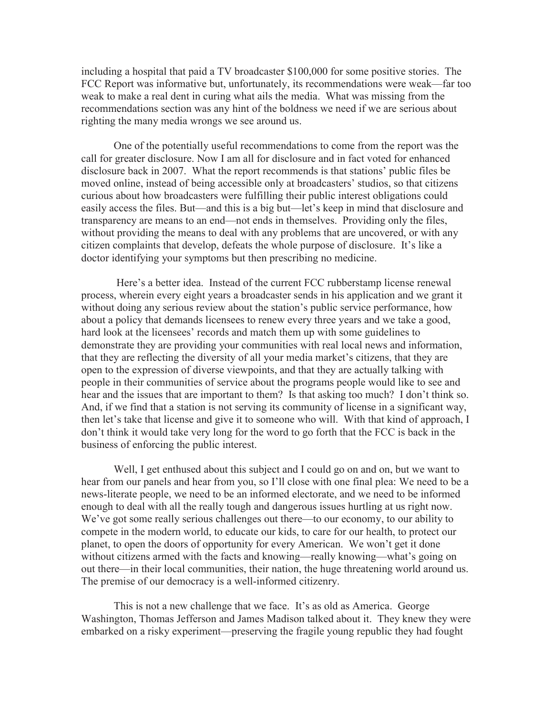including a hospital that paid a TV broadcaster \$100,000 for some positive stories. The FCC Report was informative but, unfortunately, its recommendations were weak—far too weak to make a real dent in curing what ails the media. What was missing from the recommendations section was any hint of the boldness we need if we are serious about righting the many media wrongs we see around us.

One of the potentially useful recommendations to come from the report was the call for greater disclosure. Now I am all for disclosure and in fact voted for enhanced disclosure back in 2007. What the report recommends is that stations' public files be moved online, instead of being accessible only at broadcasters' studios, so that citizens curious about how broadcasters were fulfilling their public interest obligations could easily access the files. But—and this is a big but—let's keep in mind that disclosure and transparency are means to an end—not ends in themselves. Providing only the files, without providing the means to deal with any problems that are uncovered, or with any citizen complaints that develop, defeats the whole purpose of disclosure. It's like a doctor identifying your symptoms but then prescribing no medicine.

Here's a better idea. Instead of the current FCC rubberstamp license renewal process, wherein every eight years a broadcaster sends in his application and we grant it without doing any serious review about the station's public service performance, how about a policy that demands licensees to renew every three years and we take a good, hard look at the licensees' records and match them up with some guidelines to demonstrate they are providing your communities with real local news and information, that they are reflecting the diversity of all your media market's citizens, that they are open to the expression of diverse viewpoints, and that they are actually talking with people in their communities of service about the programs people would like to see and hear and the issues that are important to them? Is that asking too much? I don't think so. And, if we find that a station is not serving its community of license in a significant way, then let's take that license and give it to someone who will. With that kind of approach, I don't think it would take very long for the word to go forth that the FCC is back in the business of enforcing the public interest.

Well, I get enthused about this subject and I could go on and on, but we want to hear from our panels and hear from you, so I'll close with one final plea: We need to be a news-literate people, we need to be an informed electorate, and we need to be informed enough to deal with all the really tough and dangerous issues hurtling at us right now. We've got some really serious challenges out there—to our economy, to our ability to compete in the modern world, to educate our kids, to care for our health, to protect our planet, to open the doors of opportunity for every American. We won't get it done without citizens armed with the facts and knowing—really knowing—what's going on out there—in their local communities, their nation, the huge threatening world around us. The premise of our democracy is a well-informed citizenry.

This is not a new challenge that we face. It's as old as America. George Washington, Thomas Jefferson and James Madison talked about it. They knew they were embarked on a risky experiment—preserving the fragile young republic they had fought